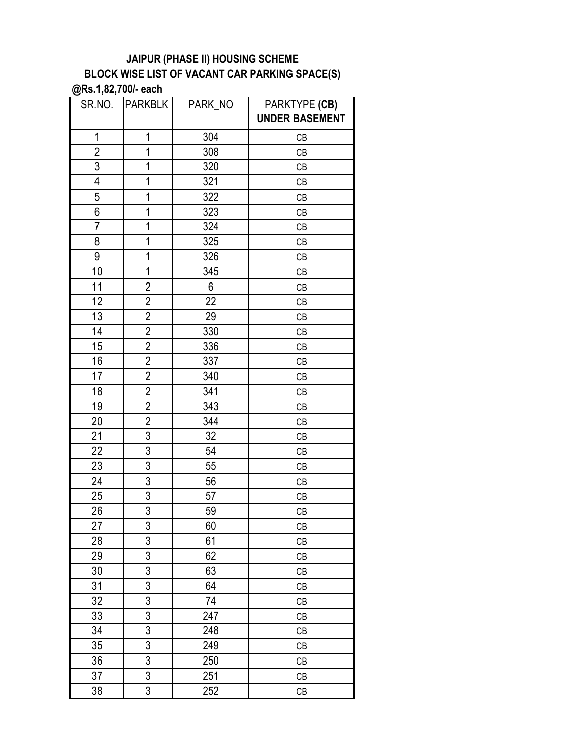| SR.NO.         | <b>PARKBLK</b>          | PARK_NO | PARKTYPE (CB)<br><b>UNDER BASEMENT</b> |
|----------------|-------------------------|---------|----------------------------------------|
| $\mathbf 1$    | 1                       | 304     | CB                                     |
| $\overline{c}$ | 1                       | 308     | CB                                     |
| $\overline{3}$ | 1                       | 320     | CB                                     |
| 4              | 1                       | 321     | CB                                     |
| 5              | 1                       | 322     | CB                                     |
| 6              | 1                       | 323     | CB                                     |
| $\overline{7}$ | 1                       | 324     | CB                                     |
| 8              | 1                       | 325     | CB                                     |
| 9              | 1                       | 326     | CB                                     |
| 10             | 1                       | 345     | CB                                     |
| 11             | $\overline{2}$          | 6       | CB                                     |
| 12             | $\overline{\mathbf{c}}$ | 22      | CB                                     |
| 13             | $\overline{2}$          | 29      | CB                                     |
| 14             | $\overline{2}$          | 330     | CB                                     |
| 15             | $\overline{2}$          | 336     | CB                                     |
| 16             | $\overline{2}$          | 337     | CB                                     |
| 17             | $\overline{2}$          | 340     | CB                                     |
| 18             | $\overline{2}$          | 341     | CB                                     |
| 19             | $\overline{2}$          | 343     | CB                                     |
| 20             | $\overline{2}$          | 344     | CB                                     |
| 21             | $\overline{3}$          | 32      | CB                                     |
| 22             | $\overline{3}$          | 54      | CB                                     |
| 23             | $\overline{3}$          | 55      | CB                                     |
| 24             | $\overline{3}$          | 56      | CB                                     |
| 25             | 3                       | 57      | CB                                     |
| 26             | $\overline{3}$          | 59      | CB                                     |
| 27             | 3                       | 60      | CB                                     |
| 28             | $\overline{3}$          | 61      | CB                                     |
| 29             | 3                       | 62      | CB                                     |
| 30             | $\overline{3}$          | 63      | CB                                     |
| 31             | $\overline{3}$          | 64      | CB                                     |
| 32             | $\overline{3}$          | 74      | CB                                     |
| 33             | 3                       | 247     | CB                                     |
| 34             | $\overline{3}$          | 248     | CB                                     |
| 35             | $\overline{3}$          | 249     | СB                                     |
| 36             | 3                       | 250     | CB                                     |
| 37             | 3                       | 251     | CB                                     |
| 38             | 3                       | 252     | CB                                     |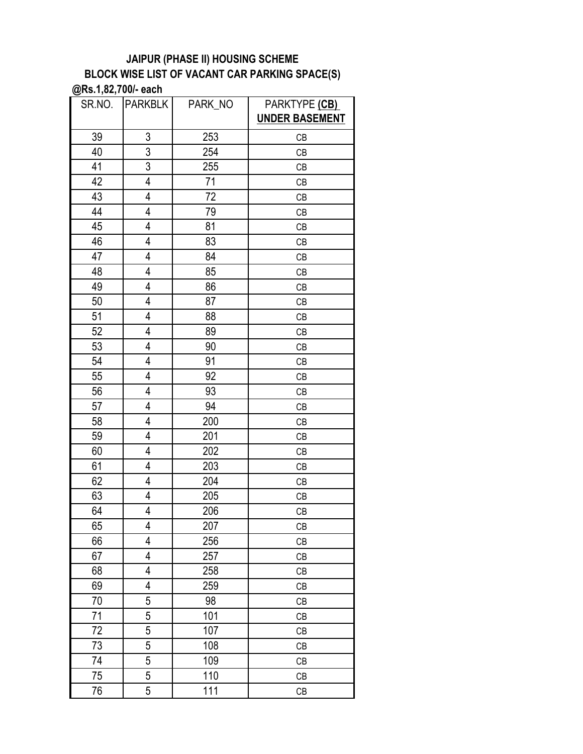| SR.NO. | <b>PARKBLK</b> | PARK_NO | PARKTYPE (CB)<br><b>UNDER BASEMENT</b> |
|--------|----------------|---------|----------------------------------------|
| 39     | 3              | 253     | CB                                     |
| 40     | $\overline{3}$ | 254     | CB                                     |
| 41     | $\overline{3}$ | 255     | CB                                     |
| 42     | 4              | 71      | CB                                     |
| 43     | 4              | 72      | CB                                     |
| 44     | 4              | 79      | CB                                     |
| 45     | 4              | 81      | CB                                     |
| 46     | 4              | 83      | CB                                     |
| 47     | $\overline{4}$ | 84      | CB                                     |
| 48     | 4              | 85      | CB                                     |
| 49     | 4              | 86      | CB                                     |
| 50     | 4              | 87      | CB                                     |
| 51     | 4              | 88      | CB                                     |
| 52     | 4              | 89      | CB                                     |
| 53     | 4              | 90      | CB                                     |
| 54     | 4              | 91      | CB                                     |
| 55     | 4              | 92      | CB                                     |
| 56     | 4              | 93      | CB                                     |
| 57     | 4              | 94      | CB                                     |
| 58     | 4              | 200     | CB                                     |
| 59     | 4              | 201     | CB                                     |
| 60     | 4              | 202     | СB                                     |
| 61     | 4              | 203     | CB                                     |
| 62     | 4              | 204     | CB                                     |
| 63     | 4              | 205     | CB                                     |
| 64     | 4              | 206     | CB                                     |
| 65     | 4              | 207     | CB                                     |
| 66     | 4              | 256     | СB                                     |
| 67     | 4              | 257     | CB                                     |
| 68     | 4              | 258     | CB                                     |
| 69     | 4              | 259     | CB                                     |
| 70     | 5              | 98      | CB                                     |
| 71     | 5              | 101     | CB                                     |
| 72     | $\overline{5}$ | 107     | CB                                     |
| 73     | 5              | 108     | CB                                     |
| 74     | 5              | 109     | CB                                     |
| 75     | 5              | 110     | CB                                     |
| 76     | 5              | 111     | CB                                     |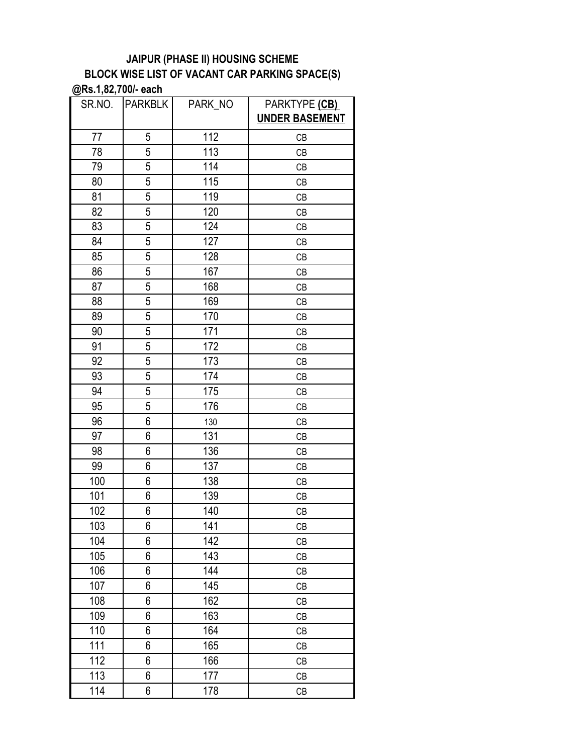| SR.NO. | <b>PARKBLK</b> | PARK_NO | PARKTYPE (CB)<br><b>UNDER BASEMENT</b> |
|--------|----------------|---------|----------------------------------------|
|        |                |         |                                        |
| 77     | 5              | 112     | CB                                     |
| 78     | 5              | 113     | CB                                     |
| 79     | 5              | 114     | CB                                     |
| 80     | 5              | 115     | CB                                     |
| 81     | 5              | 119     | CB                                     |
| 82     | 5              | 120     | CB                                     |
| 83     | 5              | 124     | CB                                     |
| 84     | 5              | 127     | CB                                     |
| 85     | $\overline{5}$ | 128     | CB                                     |
| 86     | 5              | 167     | CB                                     |
| 87     | 5              | 168     | CB                                     |
| 88     | 5              | 169     | CB                                     |
| 89     | $\overline{5}$ | 170     | CB                                     |
| 90     | 5              | 171     | CB                                     |
| 91     | 5              | 172     | CB                                     |
| 92     | 5              | 173     | CB                                     |
| 93     | $\overline{5}$ | 174     | CB                                     |
| 94     | 5              | 175     | CB                                     |
| 95     | 5              | 176     | CB                                     |
| 96     | 6              | 130     | CB                                     |
| 97     | 6              | 131     | CB                                     |
| 98     | 6              | 136     | CB                                     |
| 99     | 6              | 137     | CB                                     |
| 100    | 6              | 138     | CB                                     |
| 101    | 6              | 139     | CB                                     |
| 102    | 6              | 140     | CB                                     |
| 103    | 6              | 141     | CB                                     |
| 104    | 6              | 142     | CB                                     |
| 105    | 6              | 143     | CB                                     |
| 106    | 6              | 144     | CB                                     |
| 107    | 6              | 145     | CB                                     |
| 108    | 6              | 162     | CB                                     |
| 109    | 6              | 163     | CB                                     |
| 110    | 6              | 164     | CB                                     |
| 111    | 6              | 165     | CB                                     |
| 112    | 6              | 166     | CB                                     |
| 113    | 6              | 177     | CB                                     |
| 114    | 6              | 178     | CB                                     |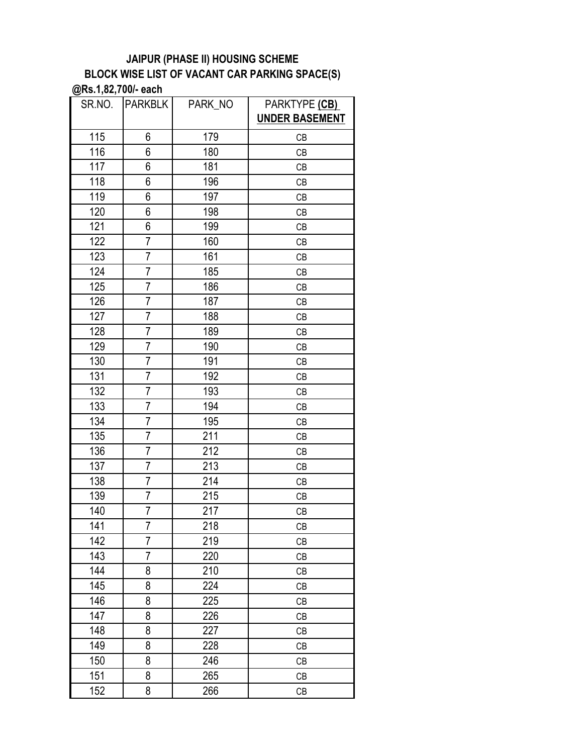| SR.NO. | <b>PARKBLK</b> | PARK NO | PARKTYPE (CB)<br><b>UNDER BASEMENT</b> |
|--------|----------------|---------|----------------------------------------|
| 115    | 6              | 179     | CB                                     |
| 116    | 6              | 180     | CB                                     |
| 117    | 6              | 181     | CB                                     |
| 118    | 6              | 196     | CB                                     |
| 119    | 6              | 197     | CB                                     |
| 120    | 6              | 198     | CB                                     |
| 121    | 6              | 199     | CB                                     |
| 122    | $\overline{7}$ | 160     | CB                                     |
| 123    | $\overline{7}$ | 161     | CB                                     |
| 124    | $\overline{7}$ | 185     | CB                                     |
| 125    | $\overline{7}$ | 186     | CB                                     |
| 126    | $\overline{7}$ | 187     | CB                                     |
| 127    | $\overline{7}$ | 188     | CB                                     |
| 128    | $\overline{7}$ | 189     | CB                                     |
| 129    | $\overline{7}$ | 190     | CB                                     |
| 130    | $\overline{7}$ | 191     | CB                                     |
| 131    | $\overline{7}$ | 192     | CB                                     |
| 132    | $\overline{7}$ | 193     | CB                                     |
| 133    | $\overline{7}$ | 194     | CB                                     |
| 134    | $\overline{7}$ | 195     | CB                                     |
| 135    | $\overline{7}$ | 211     | CB                                     |
| 136    | $\overline{7}$ | 212     | CB                                     |
| 137    | $\overline{7}$ | 213     | CB                                     |
| 138    | $\overline{7}$ | 214     | CB                                     |
| 139    | $\overline{7}$ | 215     | CB                                     |
| 140    | $\overline{7}$ | 217     | CB                                     |
| 141    | ſ              | 218     | CB                                     |
| 142    | $\overline{7}$ | 219     | CB                                     |
| 143    | 7              | 220     | CB                                     |
| 144    | 8              | 210     | CB                                     |
| 145    | 8              | 224     | CB                                     |
| 146    | 8              | 225     | CB                                     |
| 147    | 8              | 226     | СB                                     |
| 148    | 8              | 227     | CB                                     |
| 149    | 8              | 228     | СB                                     |
| 150    | 8              | 246     | CB                                     |
| 151    | 8              | 265     | CB                                     |
| 152    | 8              | 266     | СB                                     |